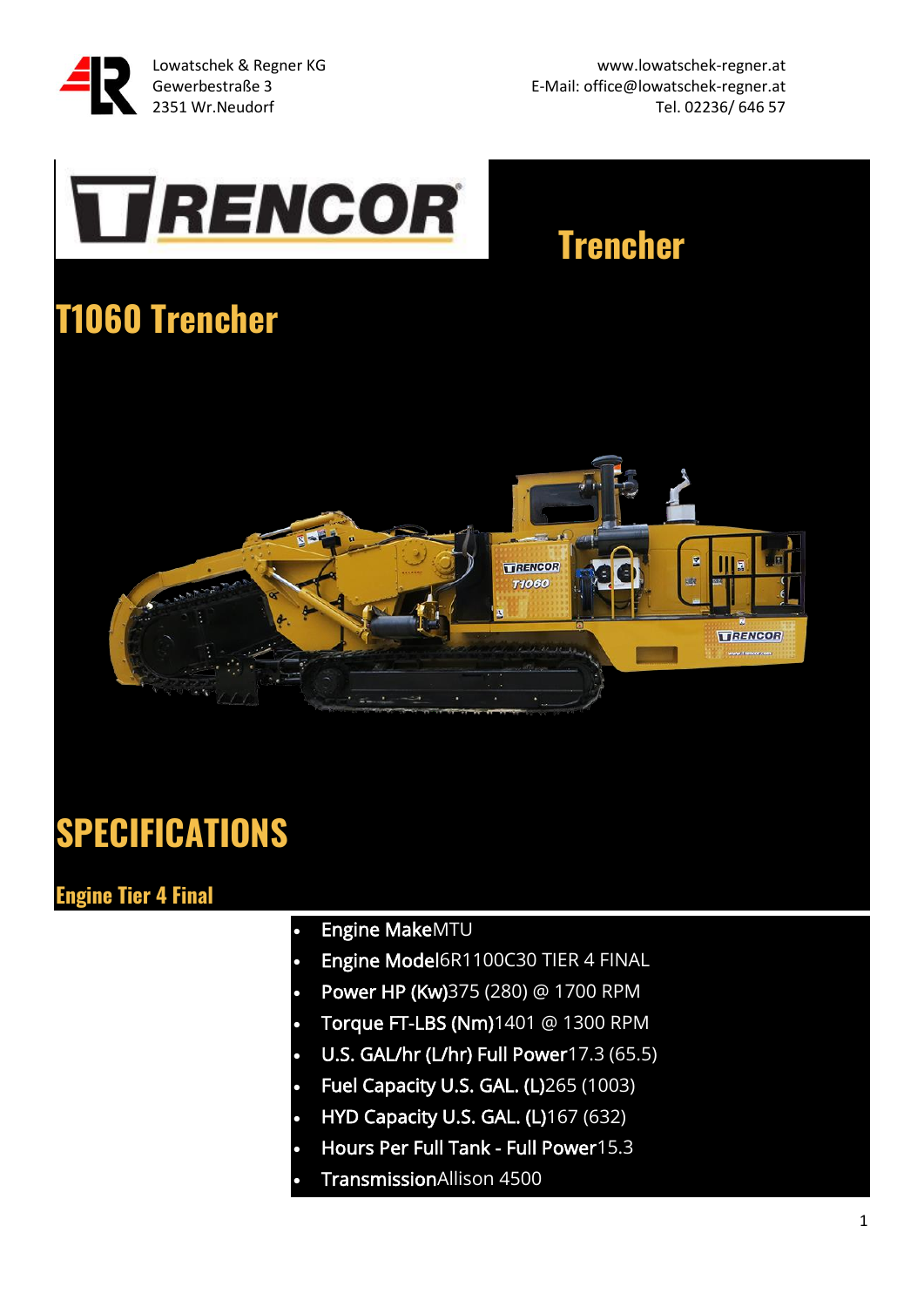

Lowatschek & Regner KG www.lowatschek-regner.at Gewerbestraße 3 E-Mail: office@lowatschek-regner.at 2351 Wr.Neudorf **Tel. 02236/ 646 57** 

# **TRENCOR**

### **Trencher**

### **T1060 Trencher**



### **SPECIFICATIONS**

#### **Engine Tier 4 Final**

- Engine MakeMTU
- Engine Model6R1100C30 TIER 4 FINAL
- Power HP (Kw)375 (280) @ 1700 RPM
- Torque FT-LBS (Nm)1401 @ 1300 RPM
- U.S. GAL/hr (L/hr) Full Power17.3 (65.5)
- Fuel Capacity U.S. GAL. (L)265 (1003)
- HYD Capacity U.S. GAL. (L)167 (632)
- Hours Per Full Tank Full Power15.3
- TransmissionAllison 4500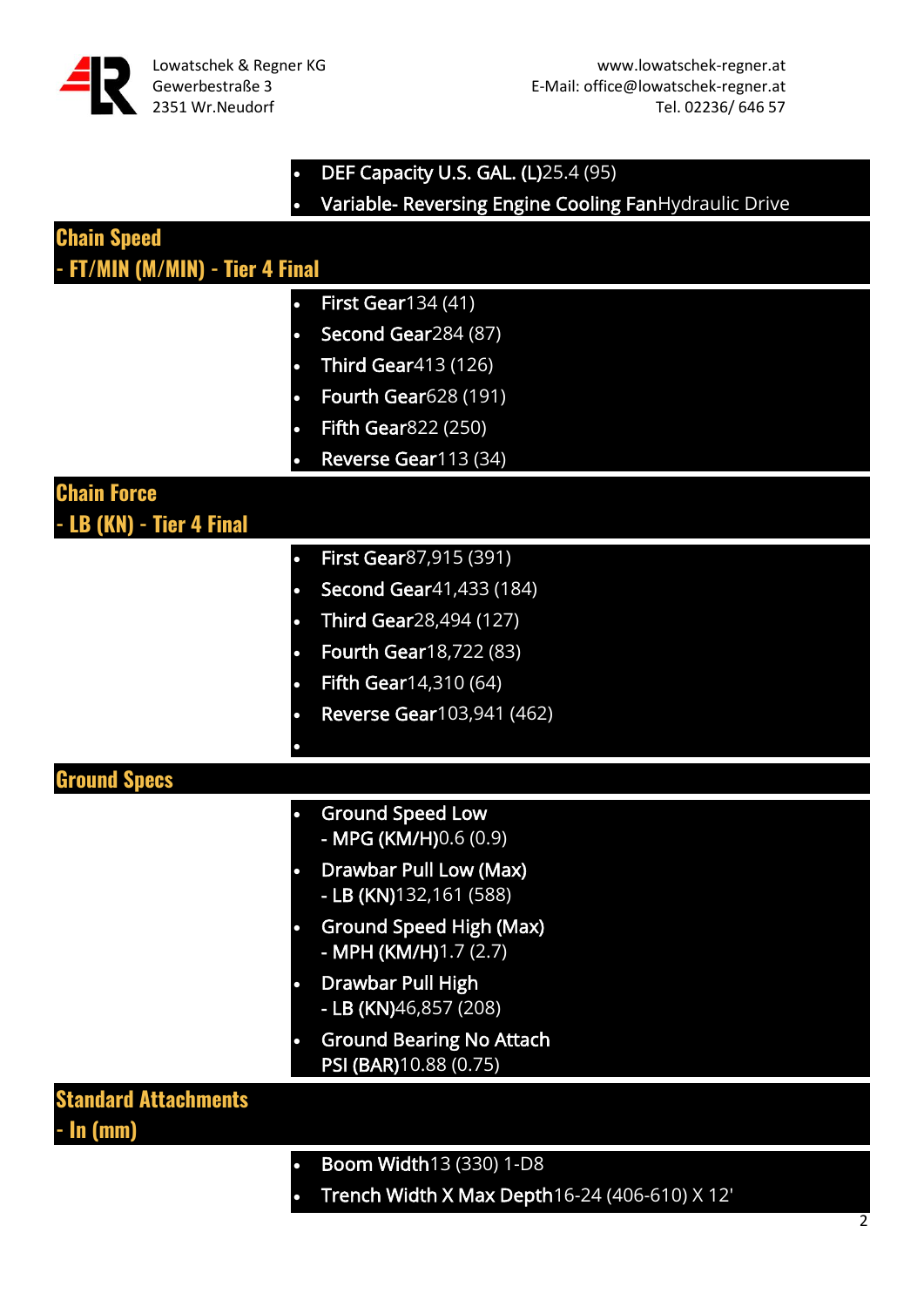

#### • DEF Capacity U.S. GAL. (L)25.4 (95) • Variable- Reversing Engine Cooling FanHydraulic Drive

| <b>Chain Speed</b><br>- FT/MIN (M/MIN) - Tier 4 Final |                                                                      |
|-------------------------------------------------------|----------------------------------------------------------------------|
|                                                       | <b>First Gear134 (41)</b>                                            |
|                                                       | Second Gear284 (87)                                                  |
|                                                       | <b>Third Gear413 (126)</b>                                           |
|                                                       | <b>Fourth Gear628 (191)</b>                                          |
|                                                       | <b>Fifth Gear</b> 822 (250)                                          |
|                                                       | Reverse Gear113 (34)                                                 |
| <b>Chain Force</b><br>LB (KN) - Tier 4 Final          |                                                                      |
|                                                       | First Gear87,915 (391)<br>$\bullet$                                  |
|                                                       | Second Gear41,433 (184)<br>$\bullet$                                 |
|                                                       | Third Gear28,494 (127)                                               |
|                                                       | Fourth Gear18,722 (83)                                               |
|                                                       | <b>Fifth Gear14,310 (64)</b>                                         |
|                                                       | Reverse Gear103,941 (462)                                            |
|                                                       |                                                                      |
| <b>Ground Specs</b>                                   |                                                                      |
|                                                       | <b>Ground Speed Low</b><br>- MPG (KM/H)0.6 (0.9)                     |
|                                                       | Drawbar Pull Low (Max)<br>- LB (KN)132,161 (588)                     |
|                                                       | <b>Ground Speed High (Max)</b><br>$\bullet$<br>- MPH (KM/H)1.7 (2.7) |
|                                                       | Drawbar Pull High<br>- LB (KN)46,857 (208)                           |
|                                                       | <b>Ground Bearing No Attach</b><br>PSI (BAR) 10.88 (0.75)            |
| <b>Standard Attachments</b><br>- <b>In (mm)</b>       |                                                                      |
|                                                       | Boom Width13 (330) 1-D8<br>$\bullet$                                 |
|                                                       |                                                                      |

• Trench Width X Max Depth16-24 (406-610) X 12'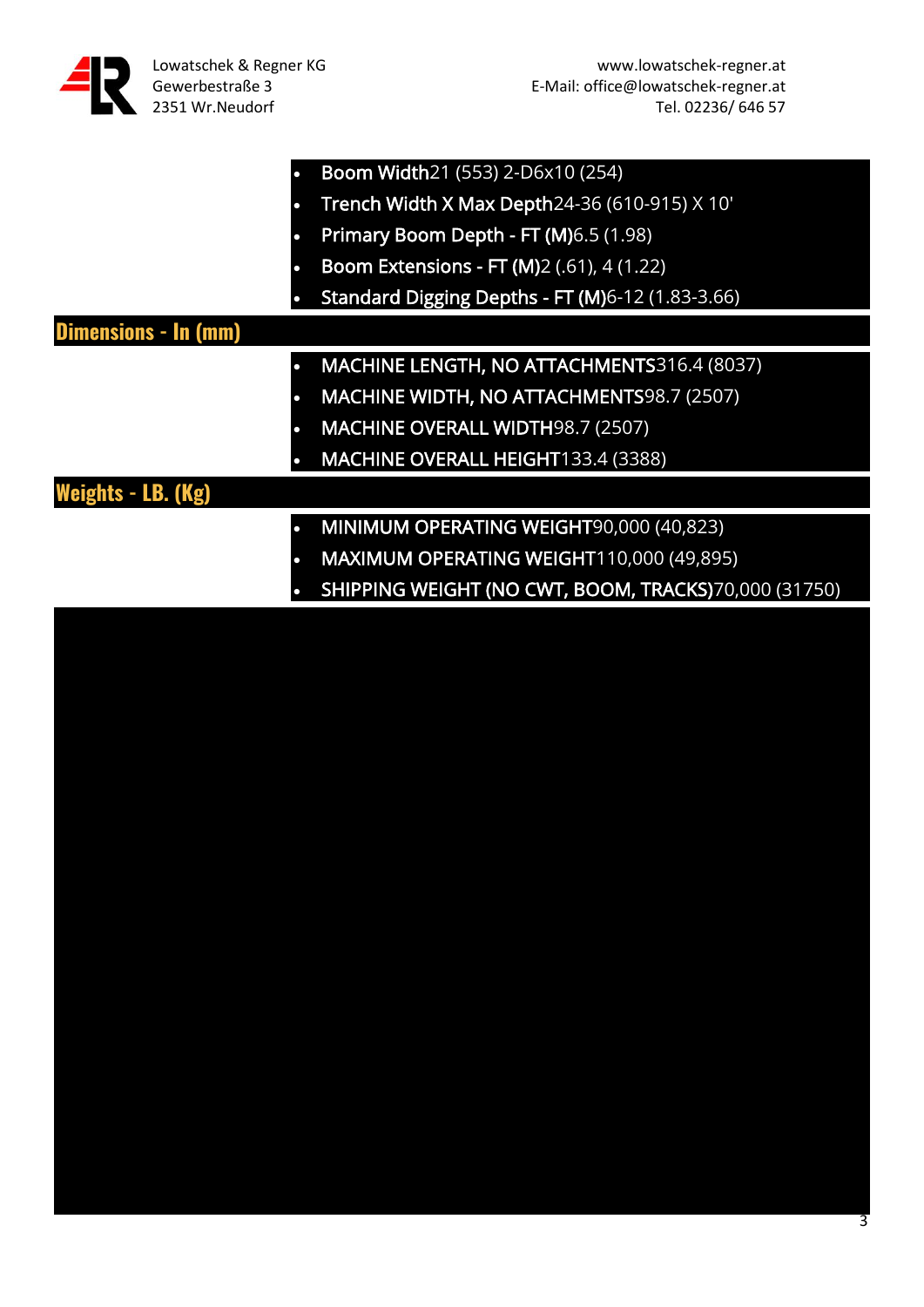

|                             | <b>Boom Width21 (553) 2-D6x10 (254)</b>                 |
|-----------------------------|---------------------------------------------------------|
|                             | Trench Width X Max Depth24-36 (610-915) X 10'           |
| n                           | Primary Boom Depth - FT (M) 6.5 (1.98)                  |
|                             | <b>Boom Extensions - FT (M)2 (.61), 4 (1.22)</b>        |
|                             | <b>Standard Digging Depths - FT (M)6-12 (1.83-3.66)</b> |
| <b>Dimensions - In (mm)</b> |                                                         |
|                             | MACHINE LENGTH, NO ATTACHMENTS316.4 (8037)              |
|                             | MACHINE WIDTH, NO ATTACHMENTS98.7 (2507)                |
|                             | <b>MACHINE OVERALL WIDTH98.7 (2507)</b>                 |
|                             | MACHINE OVERALL HEIGHT133.4 (3388)                      |
| Weights - LB. (Kg)          |                                                         |
|                             | MINIMUM OPERATING WEIGHT90,000 (40,823)                 |
|                             | MAXIMUM OPERATING WEIGHT110,000 (49,895)                |
|                             | SHIPPING WEIGHT (NO CWT, BOOM, TRACKS)70,000 (31750)    |

3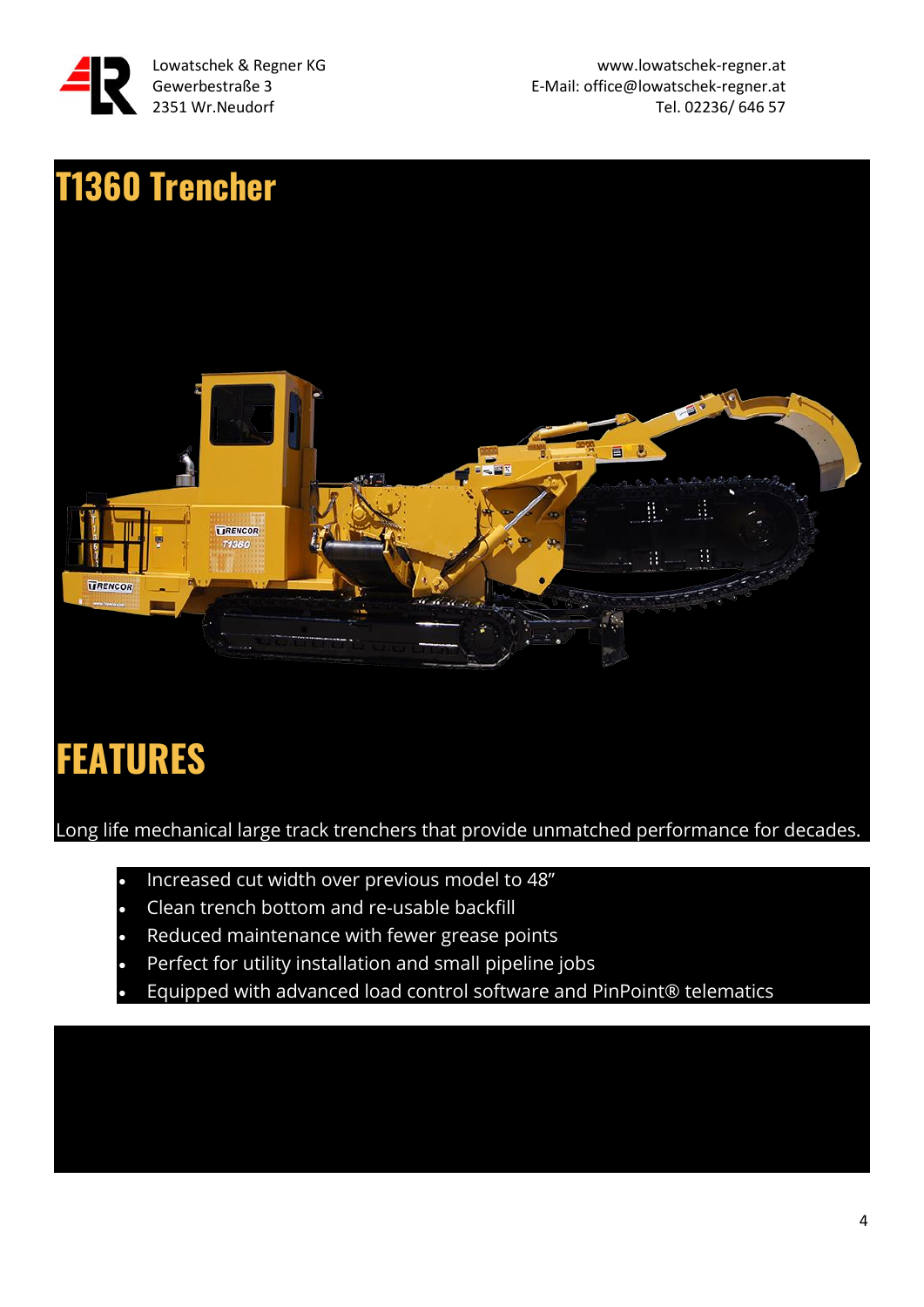

Lowatschek & Regner KG www.lowatschek-regner.at Gewerbestraße 3 E-Mail: office@lowatschek-regner.at 2351 Wr.Neudorf **Tel. 02236/ 646 57** 



### **FEATURES**

Long life mechanical large track trenchers that provide unmatched performance for decades.

- Increased cut width over previous model to 48"
- Clean trench bottom and re-usable backfill
- Reduced maintenance with fewer grease points
- Perfect for utility installation and small pipeline jobs
- Equipped with advanced load control software and PinPoint® telematics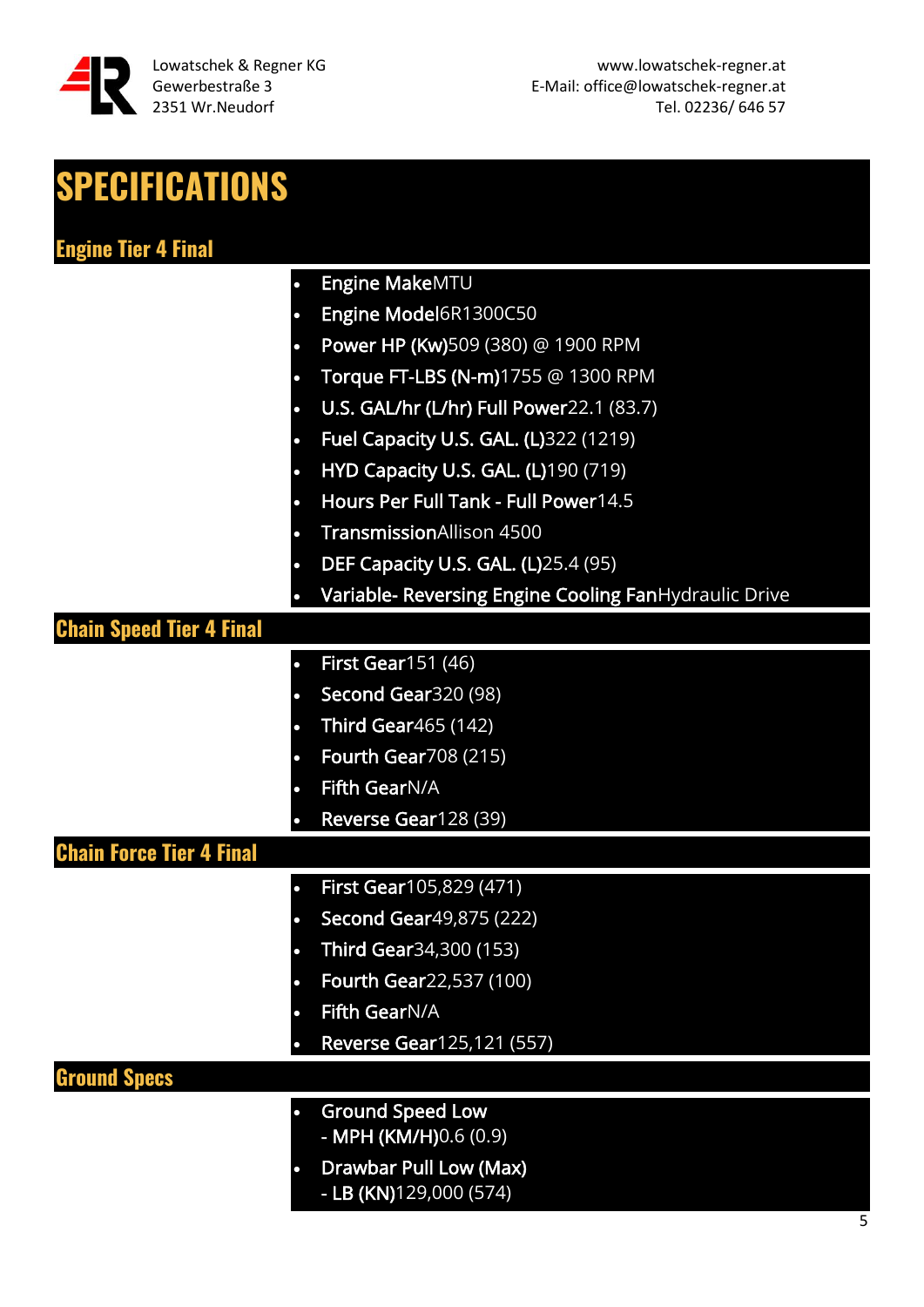

| <b>SPECIFICATIONS</b>           |                                                       |
|---------------------------------|-------------------------------------------------------|
| <b>Engine Tier 4 Final</b>      |                                                       |
| $\bullet$                       | Engine MakeMTU                                        |
|                                 | Engine Model6R1300C50                                 |
|                                 | Power HP (Kw)509 (380) @ 1900 RPM                     |
| $\bullet$                       | Torque FT-LBS (N-m)1755 @ 1300 RPM                    |
| $\bullet$                       | U.S. GAL/hr (L/hr) Full Power22.1 (83.7)              |
|                                 | Fuel Capacity U.S. GAL. (L)322 (1219)                 |
| $\bullet$                       | <b>HYD Capacity U.S. GAL. (L)190 (719)</b>            |
| $\bullet$                       | Hours Per Full Tank - Full Power14.5                  |
|                                 | <b>TransmissionAllison 4500</b>                       |
| $\bullet$                       | <b>DEF Capacity U.S. GAL. (L)</b> 25.4 (95)           |
| O                               | Variable- Reversing Engine Cooling FanHydraulic Drive |
| <b>Chain Speed Tier 4 Final</b> |                                                       |
| $\bullet$                       | <b>First Gear151 (46)</b>                             |
| $\bullet$                       | Second Gear320 (98)                                   |
| $\bullet$                       | <b>Third Gear</b> 465 (142)                           |
|                                 | <b>Fourth Gear708 (215)</b>                           |
| $\bullet$                       | Fifth GearN/A                                         |
|                                 | Reverse Gear128 (39)                                  |
| <b>Chain Force Tier 4 Final</b> |                                                       |
| $\bullet$                       | First Gear105,829 (471)                               |
| $\bullet$                       | <b>Second Gear</b> 49,875 (222)                       |
| $\bullet$                       | <b>Third Gear</b> 34, 300 (153)                       |
| О                               | <b>Fourth Gear22,537 (100)</b>                        |
|                                 | Fifth GearN/A                                         |
|                                 | <b>Reverse Gear125,121 (557)</b>                      |
| <b>Ground Specs</b>             |                                                       |
| $\bullet$                       | <b>Ground Speed Low</b>                               |
|                                 | - MPH (KM/H)0.6 (0.9)                                 |
| $\bullet$                       | Drawbar Pull Low (Max)<br>- LB (KN)129,000 (574)      |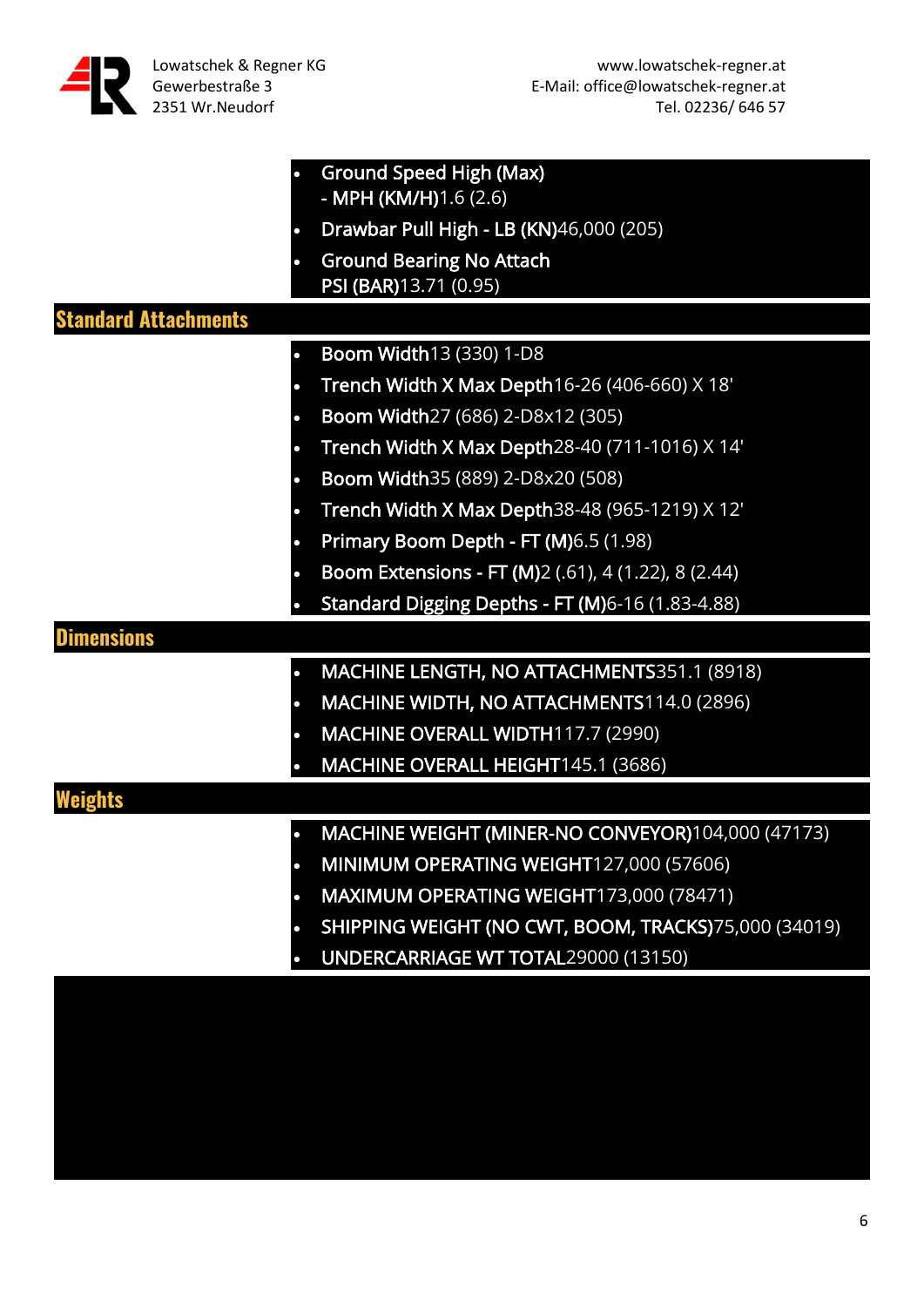

|                             | <b>Ground Speed High (Max)</b>                       |
|-----------------------------|------------------------------------------------------|
|                             | - MPH (KM/H)1.6 (2.6)                                |
|                             | Drawbar Pull High - LB (KN)46,000 (205)              |
|                             | <b>Ground Bearing No Attach</b>                      |
|                             | PSI (BAR) 13.71 (0.95)                               |
| <b>Standard Attachments</b> |                                                      |
|                             | <b>Boom Width13 (330) 1-D8</b>                       |
|                             | Trench Width X Max Depth16-26 (406-660) X 18'        |
|                             | Boom Width27 (686) 2-D8x12 (305)                     |
|                             | Trench Width X Max Depth28-40 (711-1016) X 14'       |
|                             | Boom Width 35 (889) 2-D8x20 (508)                    |
|                             | Trench Width X Max Depth38-48 (965-1219) X 12'       |
|                             | Primary Boom Depth - FT (M)6.5 (1.98)                |
|                             | Boom Extensions - FT (M)2 (.61), 4 (1.22), 8 (2.44)  |
|                             | Standard Digging Depths - FT (M)6-16 (1.83-4.88)     |
| <b>Dimensions</b>           |                                                      |
|                             | MACHINE LENGTH, NO ATTACHMENTS351.1 (8918)           |
|                             | MACHINE WIDTH, NO ATTACHMENTS114.0 (2896)            |
|                             | MACHINE OVERALL WIDTH117.7 (2990)                    |
|                             | MACHINE OVERALL HEIGHT145.1 (3686)                   |
|                             |                                                      |
|                             | MACHINE WEIGHT (MINER-NO CONVEYOR)104,000 (47173)    |
|                             | MINIMUM OPERATING WEIGHT127,000 (57606)              |
|                             | MAXIMUM OPERATING WEIGHT173,000 (78471)              |
|                             | SHIPPING WEIGHT (NO CWT, BOOM, TRACKS)75,000 (34019) |
|                             |                                                      |
|                             | UNDERCARRIAGE WT TOTAL29000 (13150)                  |
|                             |                                                      |
|                             |                                                      |
|                             |                                                      |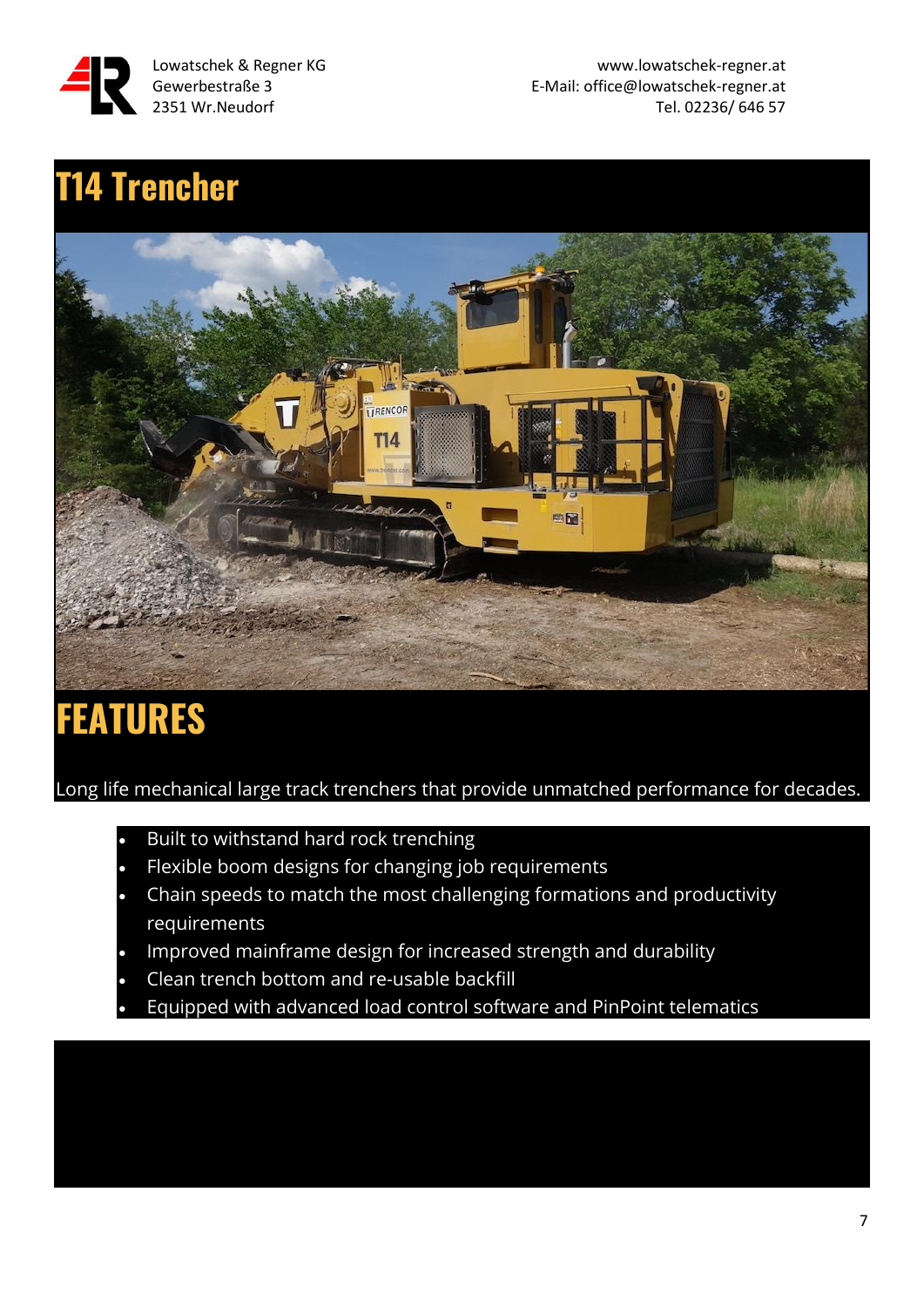

### **T14 Trencher**



### **FEATURES**

Long life mechanical large track trenchers that provide unmatched performance for decades.

- Built to withstand hard rock trenching
- Flexible boom designs for changing job requirements
- Chain speeds to match the most challenging formations and productivity requirements
- Improved mainframe design for increased strength and durability
- Clean trench bottom and re-usable backfill
- Equipped with advanced load control software and PinPoint telematics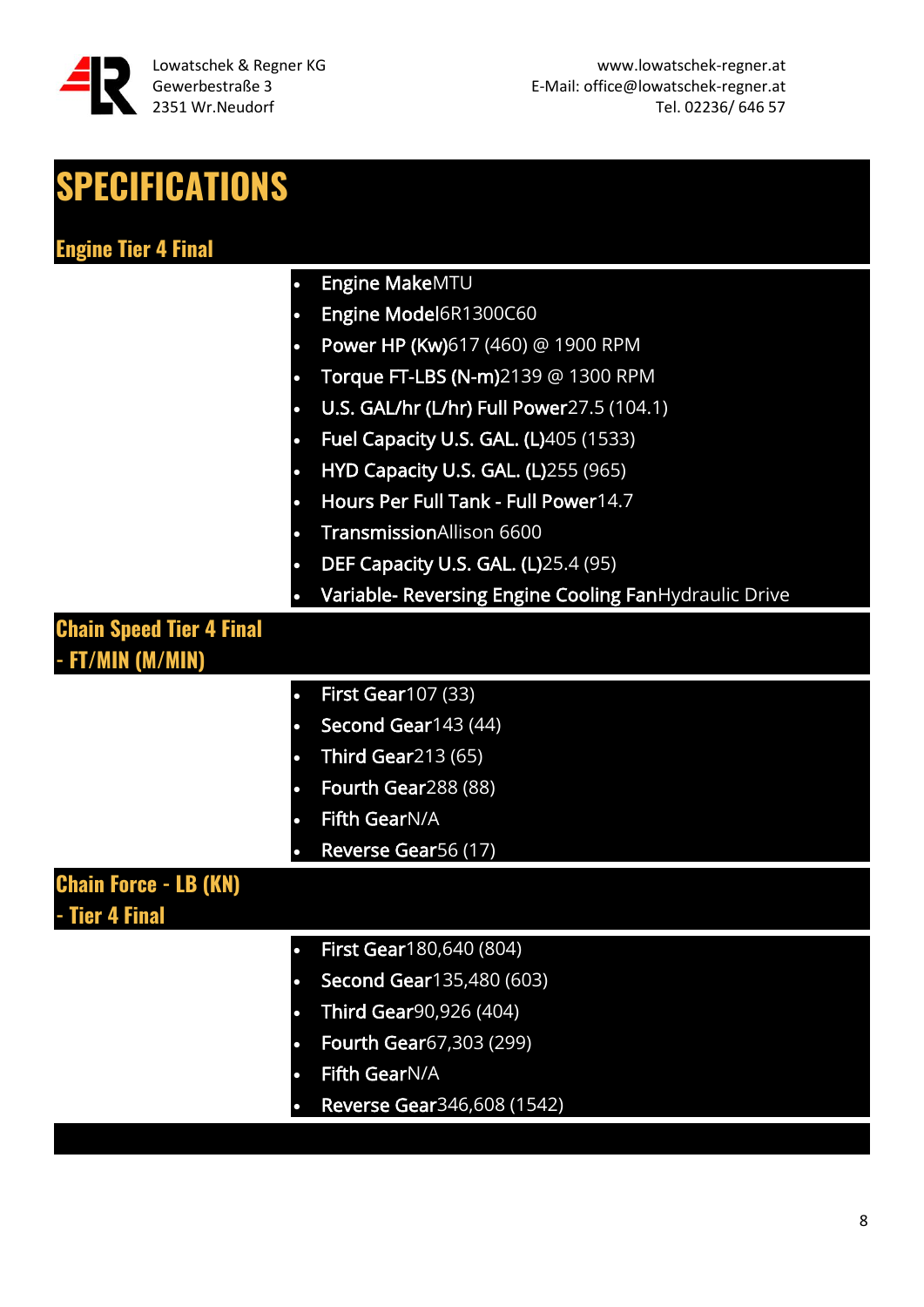

| <b>SPECIFICATIONS</b>                          |                                                       |
|------------------------------------------------|-------------------------------------------------------|
| <b>Engine Tier 4 Final</b>                     |                                                       |
|                                                | Engine MakeMTU                                        |
| $\bullet$                                      | Engine Model6R1300C60                                 |
| $\bullet$                                      | Power HP (Kw)617 (460) @ 1900 RPM                     |
|                                                | Torque FT-LBS (N-m)2139 @ 1300 RPM                    |
| $\bullet$                                      | U.S. GAL/hr (L/hr) Full Power27.5 (104.1)             |
| $\bullet$                                      | Fuel Capacity U.S. GAL. (L)405 (1533)                 |
| $\bullet$                                      | <b>HYD Capacity U.S. GAL. (L)255 (965)</b>            |
| $\bullet$                                      | Hours Per Full Tank - Full Power14.7                  |
| $\bullet$                                      | TransmissionAllison 6600                              |
| $\bullet$                                      | DEF Capacity U.S. GAL. (L)25.4 (95)                   |
|                                                | Variable- Reversing Engine Cooling FanHydraulic Drive |
| <b>Chain Speed Tier 4 Final</b>                |                                                       |
| - FT/MIN (M/MIN)                               |                                                       |
| $\bullet$                                      | <b>First Gear107 (33)</b>                             |
|                                                | Second Gear143 (44)                                   |
| $\bullet$                                      | <b>Third Gear213 (65)</b>                             |
| $\bullet$                                      | Fourth Gear288 (88)                                   |
|                                                | <b>Fifth GearN/A</b>                                  |
|                                                | Reverse Gear56 (17)                                   |
| <b>Chain Force - LB (KN)</b><br>- Tier 4 Final |                                                       |
| $\bullet$                                      | First Gear180,640 (804)                               |
|                                                | <b>Second Gear135,480 (603)</b>                       |
| $\bullet$                                      | Third Gear90,926 (404)                                |
| $\bullet$                                      | <b>Fourth Gear67,303 (299)</b>                        |
|                                                | Fifth GearN/A                                         |
|                                                | Reverse Gear346,608 (1542)                            |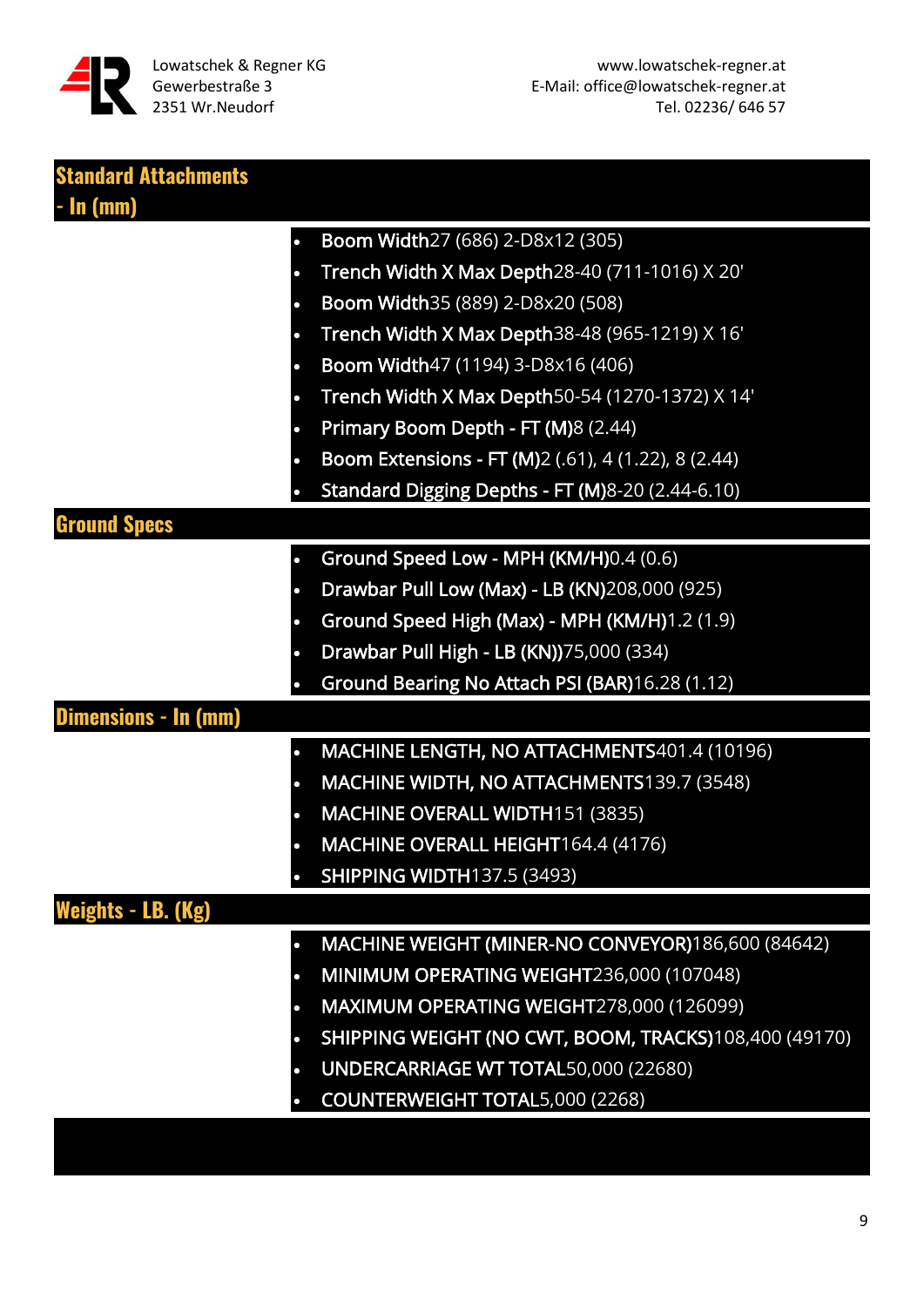

| <b>Standard Attachments</b> |                                                                    |
|-----------------------------|--------------------------------------------------------------------|
| <b>- In (mm)</b>            |                                                                    |
|                             | Boom Width27 (686) 2-D8x12 (305)<br>$\bullet$                      |
|                             | Trench Width X Max Depth28-40 (711-1016) X 20'<br>$\bullet$        |
|                             | Boom Width 35 (889) 2-D8x20 (508)<br>$\bullet$                     |
|                             | Trench Width X Max Depth38-48 (965-1219) X 16'<br>$\bullet$        |
|                             | Boom Width47 (1194) 3-D8x16 (406)<br>$\bullet$                     |
|                             | Trench Width X Max Depth50-54 (1270-1372) X 14'                    |
|                             | Primary Boom Depth - FT (M)8 (2.44)<br>$\bullet$                   |
|                             | <b>Boom Extensions - FT (M)</b> 2 (.61), 4 (1.22), 8 (2.44)        |
|                             | Standard Digging Depths - FT (M)8-20 (2.44-6.10)                   |
| <b>Ground Specs</b>         |                                                                    |
|                             | Ground Speed Low - MPH (KM/H)0.4 (0.6)<br>$\bullet$                |
|                             | Drawbar Pull Low (Max) - LB (KN)208,000 (925)<br>$\bullet$         |
|                             | Ground Speed High (Max) - MPH (KM/H)1.2 (1.9)                      |
|                             | Drawbar Pull High - LB (KN))75,000 (334)<br>$\bullet$              |
|                             | Ground Bearing No Attach PSI (BAR)16.28 (1.12)                     |
| Dimensions - In (mm)        |                                                                    |
|                             | MACHINE LENGTH, NO ATTACHMENTS401.4 (10196)                        |
|                             | MACHINE WIDTH, NO ATTACHMENTS139.7 (3548)<br>$\bullet$             |
|                             | MACHINE OVERALL WIDTH151 (3835)                                    |
|                             | MACHINE OVERALL HEIGHT164.4 (4176)                                 |
|                             | <b>SHIPPING WIDTH137.5 (3493)</b>                                  |
| Weights - LB. (Kg)          |                                                                    |
|                             | MACHINE WEIGHT (MINER-NO CONVEYOR)186,600 (84642)<br>$\bullet$     |
|                             | MINIMUM OPERATING WEIGHT236,000 (107048)<br>О                      |
|                             | MAXIMUM OPERATING WEIGHT278,000 (126099)<br>$\bullet$              |
|                             | SHIPPING WEIGHT (NO CWT, BOOM, TRACKS)108,400 (49170)<br>$\bullet$ |
|                             | UNDERCARRIAGE WT TOTAL50,000 (22680)<br>$\bullet$                  |
|                             | <b>COUNTERWEIGHT TOTAL5,000 (2268)</b>                             |
|                             |                                                                    |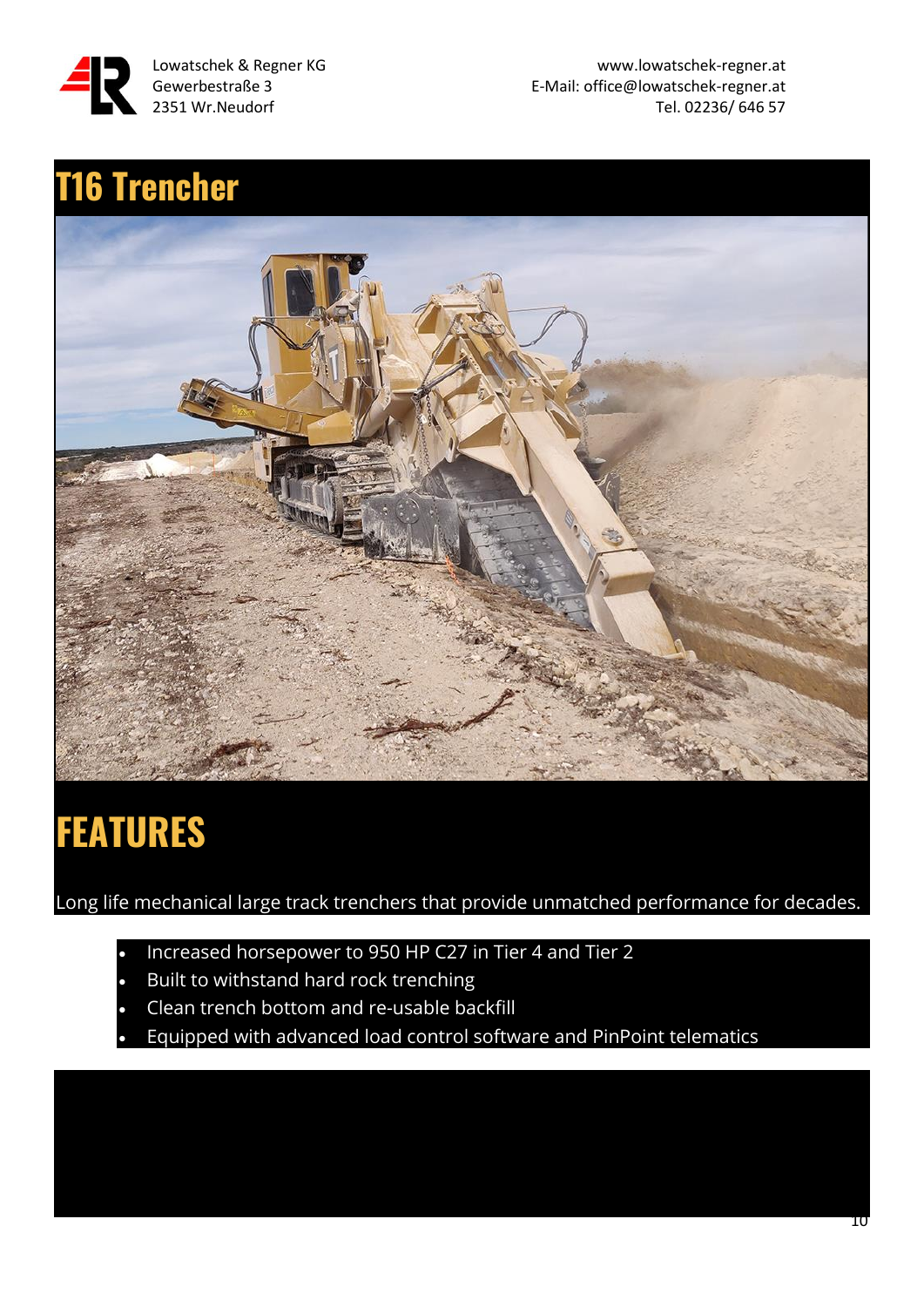

E-Mail: office@lowatschek-regner.at 2351 Wr.Neudorf Tel. 02236/ 646 57

### **T16 Trencher**



### **FEATURES**

Long life mechanical large track trenchers that provide unmatched performance for decades.

- Increased horsepower to 950 HP C27 in Tier 4 and Tier 2
- Built to withstand hard rock trenching
- Clean trench bottom and re-usable backfill
- Equipped with advanced load control software and PinPoint telematics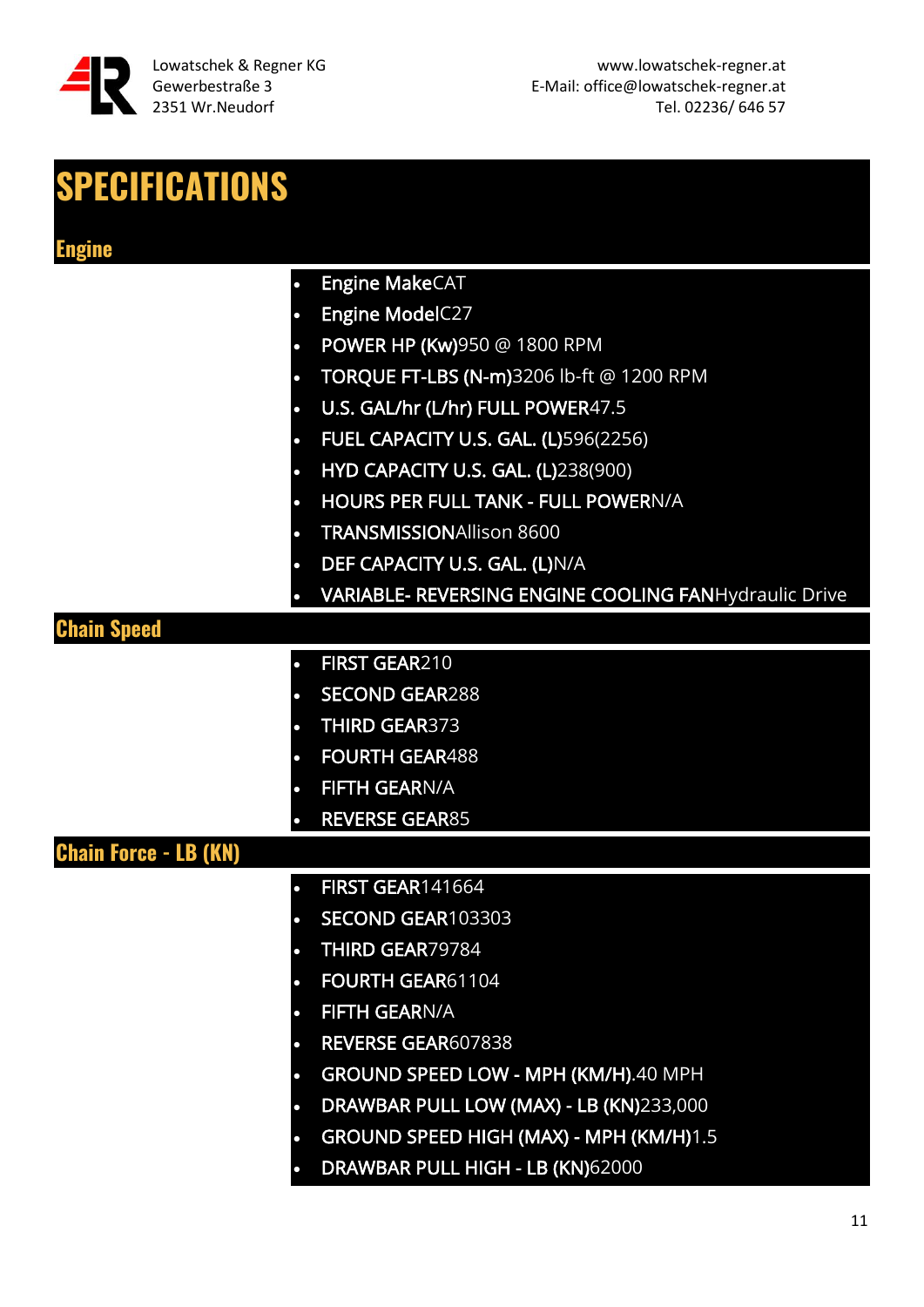

#### **SPECIFICATIONS**

- Engine MakeCAT
- Engine ModelC27
- POWER HP (Kw)950 @ 1800 RPM
- TORQUE FT-LBS (N-m)3206 lb-ft @ 1200 RPM
- U.S. GAL/hr (L/hr) FULL POWER47.5
- FUEL CAPACITY U.S. GAL. (L)596(2256)
- HYD CAPACITY U.S. GAL. (L)238(900)
- HOURS PER FULL TANK FULL POWERN/A
- TRANSMISSIONAllison 8600
- DEF CAPACITY U.S. GAL. (L)N/A
- VARIABLE- REVERSING ENGINE COOLING FANHydraulic Drive

#### **Chain Speed**

- FIRST GEAR210
- SECOND GEAR288
- THIRD GEAR373
	- **FOURTH GEAR488**
- **FIFTH GEARN/A**
- REVERSE GEAR85

#### **Chain Force - LB (KN)**

- FIRST GEAR141664
- SECOND GEAR103303
- THIRD GEAR79784
- FOURTH GEAR61104
- **FIFTH GEARN/A**
- REVERSE GEAR607838
- GROUND SPEED LOW MPH (KM/H).40 MPH
- DRAWBAR PULL LOW (MAX) LB (KN)233,000
- GROUND SPEED HIGH (MAX) MPH (KM/H)1.5
- DRAWBAR PULL HIGH LB (KN)62000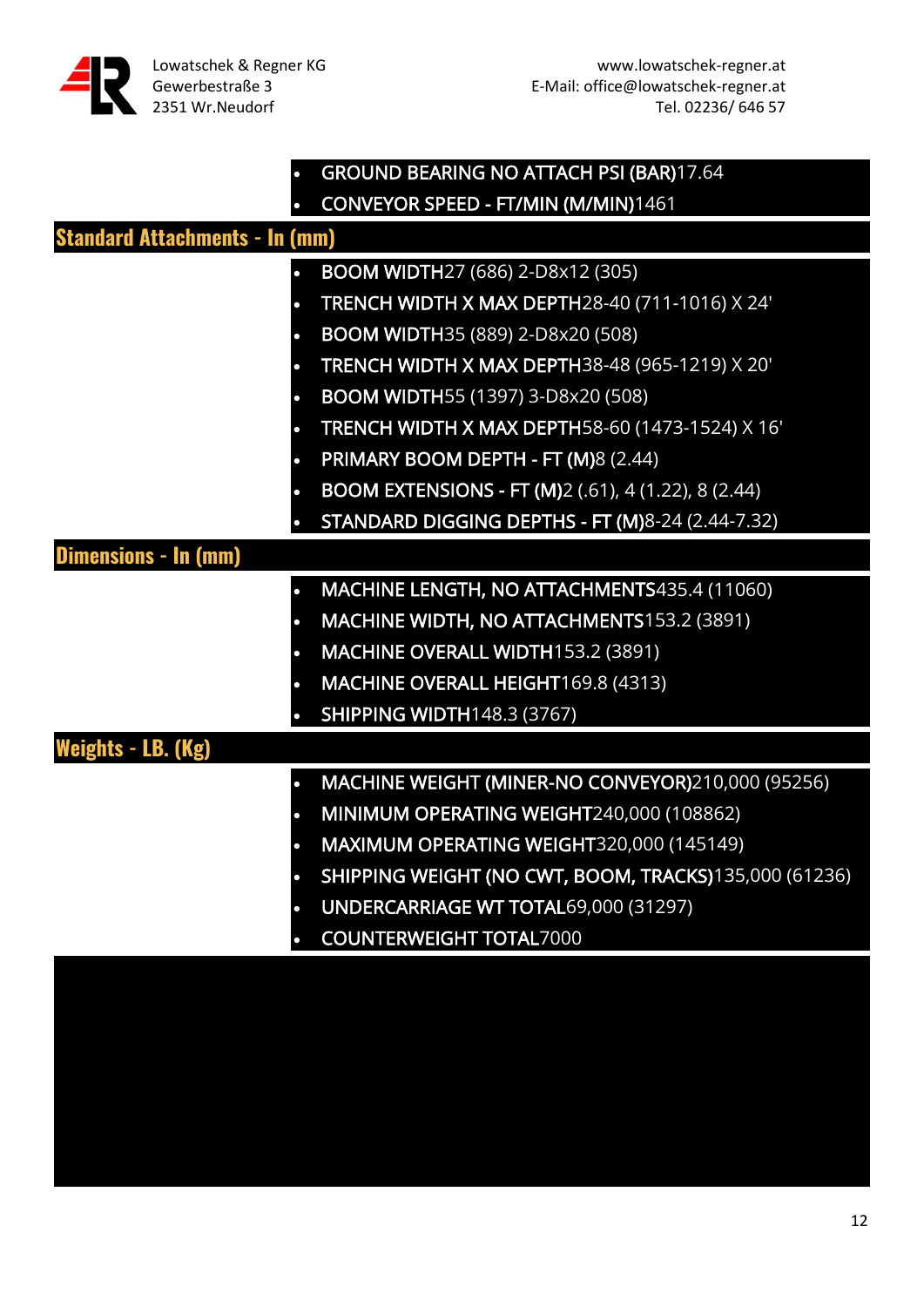|                                       | <b>GROUND BEARING NO ATTACH PSI (BAR)17.64</b>             |  |
|---------------------------------------|------------------------------------------------------------|--|
|                                       | CONVEYOR SPEED - FT/MIN (M/MIN)1461                        |  |
| <b>Standard Attachments - In (mm)</b> |                                                            |  |
|                                       | <b>BOOM WIDTH27 (686) 2-D8x12 (305)</b>                    |  |
|                                       | TRENCH WIDTH X MAX DEPTH28-40 (711-1016) X 24'             |  |
|                                       | <b>BOOM WIDTH35 (889) 2-D8x20 (508)</b>                    |  |
|                                       | TRENCH WIDTH X MAX DEPTH38-48 (965-1219) X 20'             |  |
|                                       | BOOM WIDTH55 (1397) 3-D8x20 (508)                          |  |
|                                       | TRENCH WIDTH X MAX DEPTH58-60 (1473-1524) X 16'            |  |
|                                       | PRIMARY BOOM DEPTH - FT (M)8 (2.44)                        |  |
|                                       | <b>BOOM EXTENSIONS - FT (M)2 (.61), 4 (1.22), 8 (2.44)</b> |  |
|                                       | STANDARD DIGGING DEPTHS - FT (M)8-24 (2.44-7.32)           |  |
| <b>Dimensions - In (mm)</b>           |                                                            |  |
|                                       | MACHINE LENGTH, NO ATTACHMENTS435.4 (11060)                |  |
|                                       | MACHINE WIDTH, NO ATTACHMENTS153.2 (3891)                  |  |
|                                       | MACHINE OVERALL WIDTH153.2 (3891)                          |  |
|                                       | MACHINE OVERALL HEIGHT169.8 (4313)                         |  |
|                                       | <b>SHIPPING WIDTH148.3 (3767)</b>                          |  |
| <b>Weights - LB. (Kg)</b>             |                                                            |  |
|                                       | MACHINE WEIGHT (MINER-NO CONVEYOR)210,000 (95256)          |  |
|                                       | MINIMUM OPERATING WEIGHT240,000 (108862)                   |  |
|                                       | MAXIMUM OPERATING WEIGHT320,000 (145149)                   |  |
|                                       | SHIPPING WEIGHT (NO CWT, BOOM, TRACKS)135,000 (61236)      |  |
|                                       | UNDERCARRIAGE WT TOTAL69,000 (31297)                       |  |
|                                       | <b>COUNTERWEIGHT TOTAL7000</b>                             |  |
|                                       |                                                            |  |
|                                       |                                                            |  |
|                                       |                                                            |  |
|                                       |                                                            |  |
|                                       |                                                            |  |
|                                       |                                                            |  |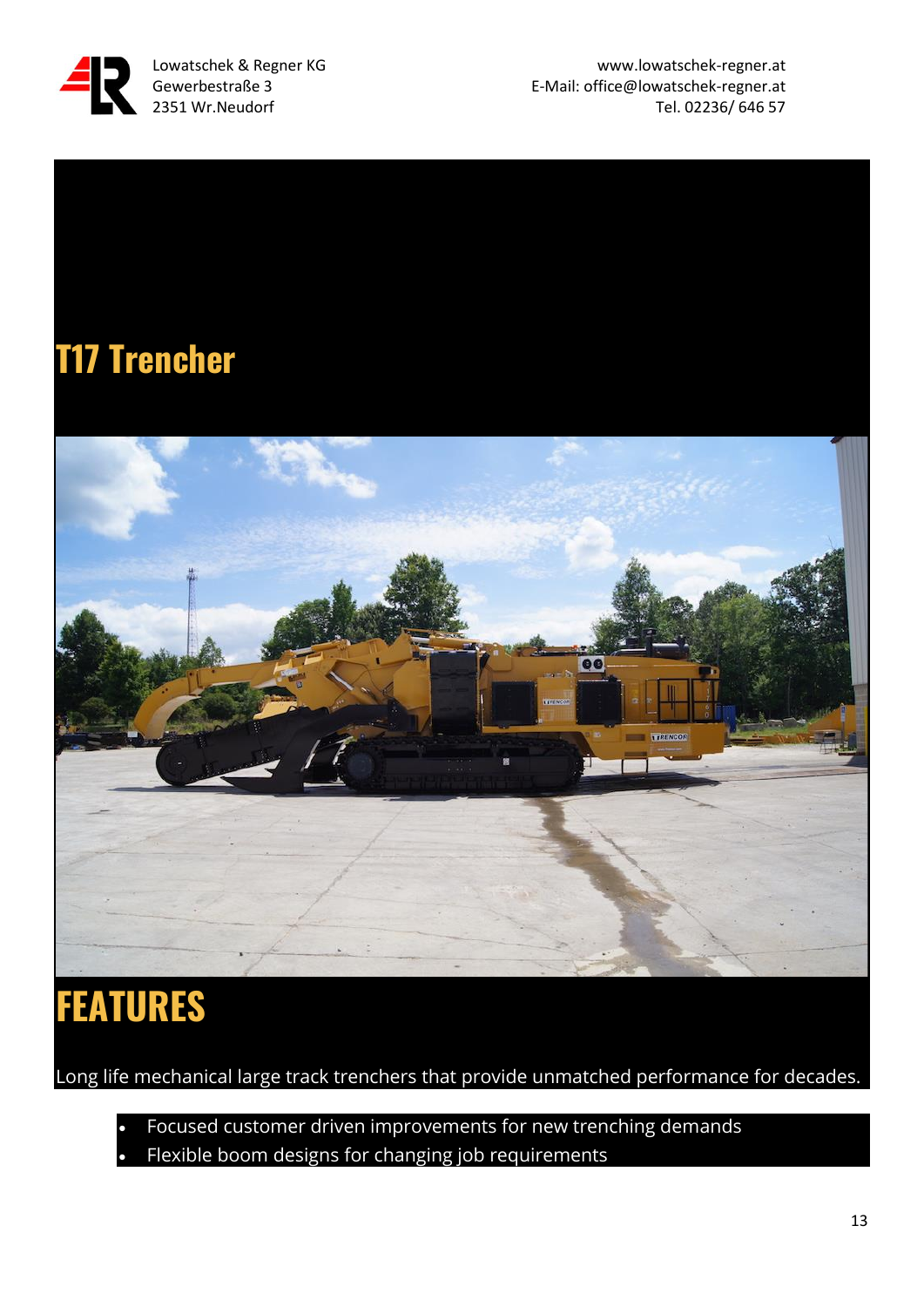

Lowatschek & Regner KG www.lowatschek-regner.at Gewerbestraße 3 E-Mail: office@lowatschek-regner.at 2351 Wr.Neudorf Tel. 02236/ 646 57

#### **T17 Trencher**



## **FEATURES**

Long life mechanical large track trenchers that provide unmatched performance for decades.

• Focused customer driven improvements for new trenching demands Flexible boom designs for changing job requirements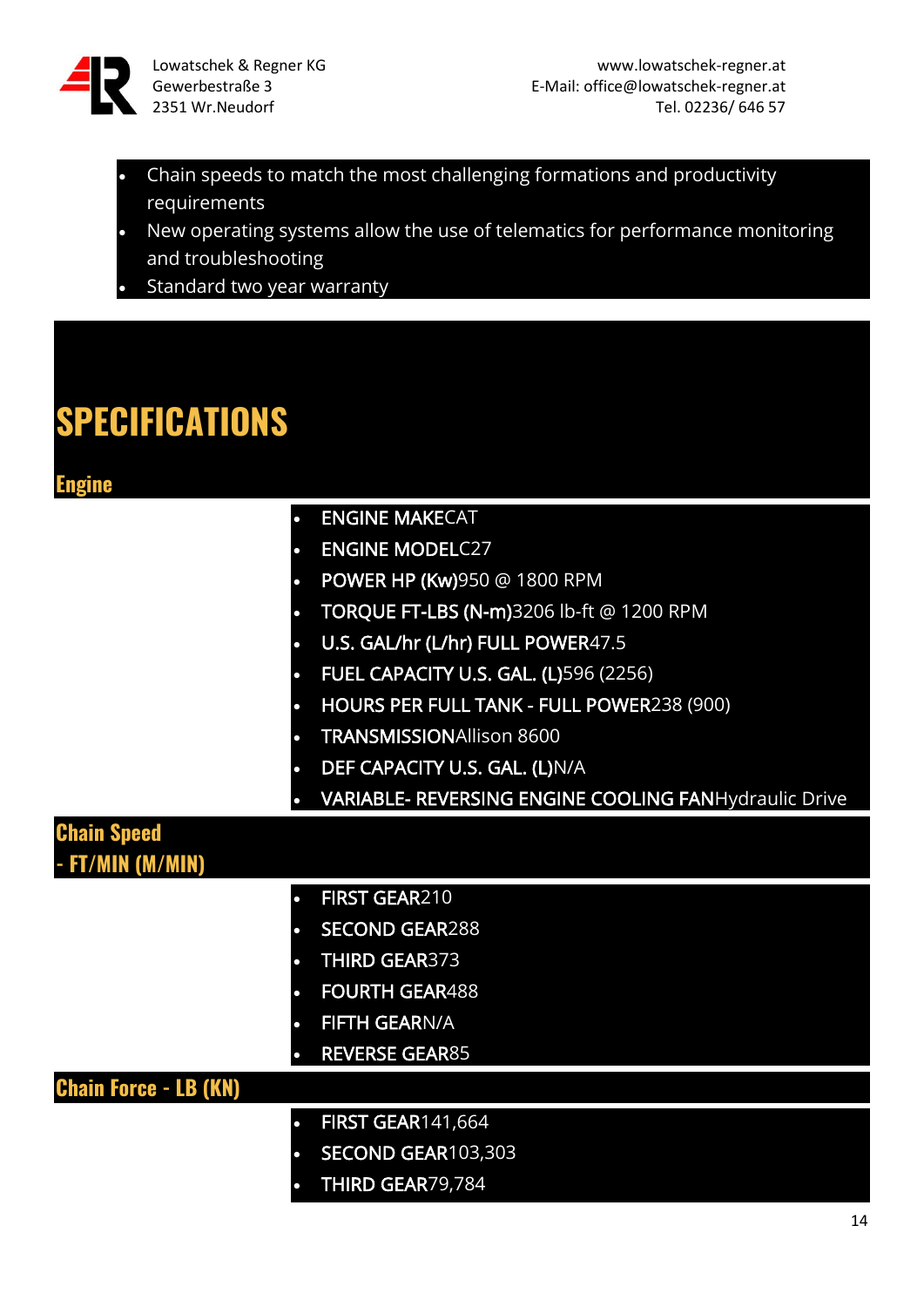![](_page_13_Picture_0.jpeg)

- Chain speeds to match the most challenging formations and productivity requirements
- New operating systems allow the use of telematics for performance monitoring and troubleshooting
- Standard two year warranty

#### **SPECIFICATIONS**

#### **Engine**

| <b>Engine</b>                          |                                                       |
|----------------------------------------|-------------------------------------------------------|
|                                        | <b>ENGINE MAKECAT</b>                                 |
|                                        | <b>ENGINE MODELC27</b>                                |
|                                        | <b>POWER HP (Kw)</b> 950 @ 1800 RPM                   |
|                                        | TORQUE FT-LBS (N-m)3206 lb-ft @ 1200 RPM              |
|                                        | U.S. GAL/hr (L/hr) FULL POWER47.5                     |
| $\bullet$                              | <b>FUEL CAPACITY U.S. GAL. (L)596 (2256)</b>          |
|                                        | HOURS PER FULL TANK - FULL POWER238 (900)             |
|                                        | <b>TRANSMISSIONAllison 8600</b>                       |
| $\bullet$                              | DEF CAPACITY U.S. GAL. (L)N/A                         |
|                                        | VARIABLE- REVERSING ENGINE COOLING FANHydraulic Drive |
| <b>Chain Speed</b><br>- FT/MIN (M/MIN) |                                                       |
|                                        | FIRST GEAR210                                         |
|                                        | <b>SECOND GEAR288</b>                                 |
|                                        | <b>THIRD GEAR373</b>                                  |
|                                        | <b>FOURTH GEAR488</b>                                 |
|                                        | <b>FIFTH GEARN/A</b>                                  |
|                                        | <b>REVERSE GEAR85</b>                                 |
| <b>Chain Force - LB (KN)</b>           |                                                       |
|                                        | <b>FIRST GEAR141,664</b>                              |
|                                        | SECOND GEAR103,303                                    |
|                                        | THIRD GEAR79,784                                      |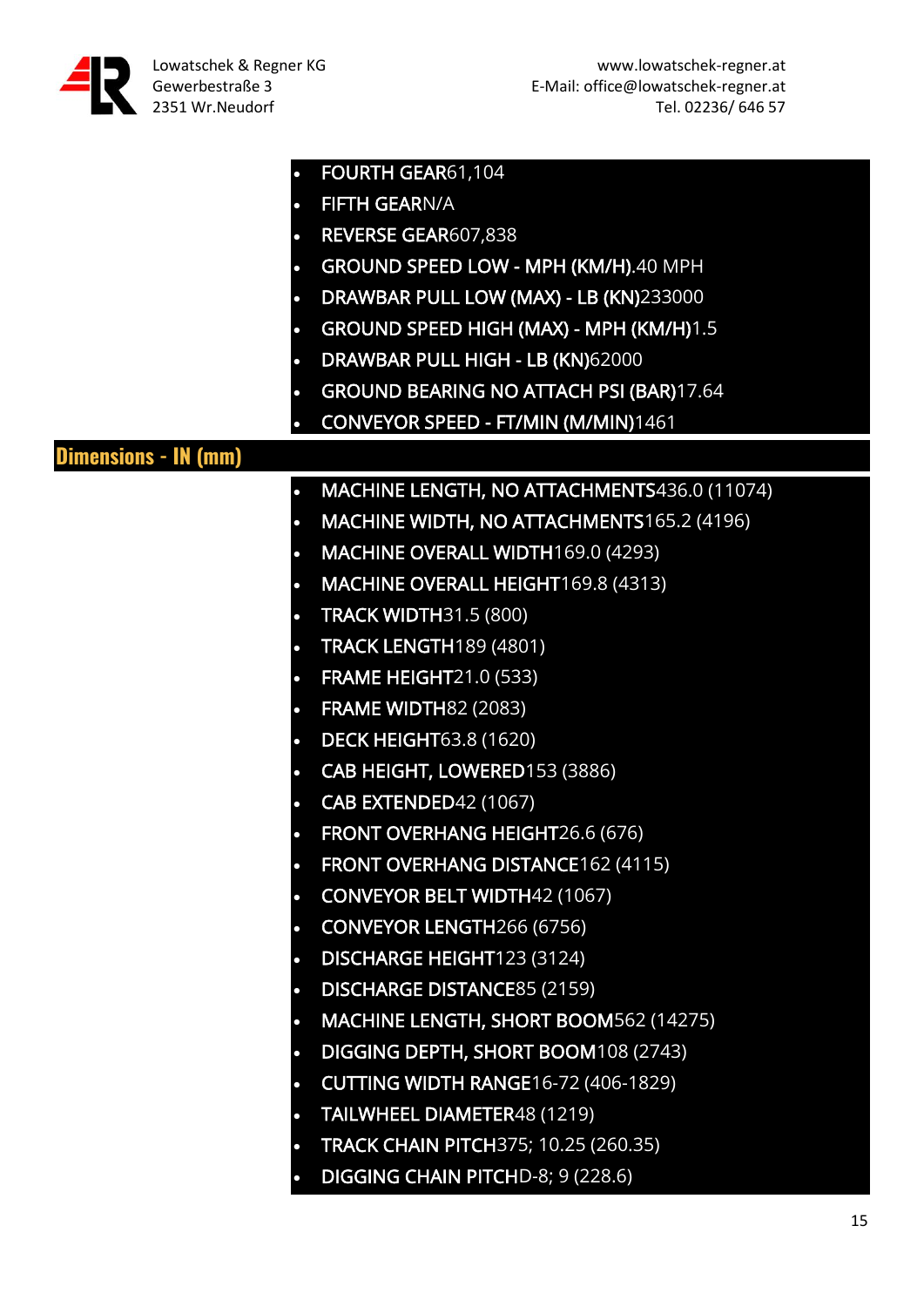| $\bullet$                   | FOURTH GEAR61,104                              |
|-----------------------------|------------------------------------------------|
| $\bullet$                   | <b>FIFTH GEARN/A</b>                           |
| $\bullet$                   | REVERSE GEAR607,838                            |
| $\bullet$                   | GROUND SPEED LOW - MPH (KM/H).40 MPH           |
| $\bullet$                   | DRAWBAR PULL LOW (MAX) - LB (KN)233000         |
|                             | GROUND SPEED HIGH (MAX) - MPH (KM/H)1.5        |
| $\bullet$                   | DRAWBAR PULL HIGH - LB (KN)62000               |
| $\bullet$                   | <b>GROUND BEARING NO ATTACH PSI (BAR)17.64</b> |
|                             | CONVEYOR SPEED - FT/MIN (M/MIN)1461            |
| <b>Dimensions - IN (mm)</b> |                                                |
| $\bullet$                   | MACHINE LENGTH, NO ATTACHMENTS436.0 (11074)    |
| $\bullet$                   | MACHINE WIDTH, NO ATTACHMENTS165.2 (4196)      |
| $\bullet$                   | MACHINE OVERALL WIDTH169.0 (4293)              |
| $\bullet$                   | MACHINE OVERALL HEIGHT169.8 (4313)             |
| $\bullet$                   | <b>TRACK WIDTH31.5 (800)</b>                   |
| $\bullet$                   | <b>TRACK LENGTH189 (4801)</b>                  |
| $\bullet$                   | <b>FRAME HEIGHT21.0 (533)</b>                  |
| $\bullet$                   | <b>FRAME WIDTH82 (2083)</b>                    |
| $\bullet$                   | <b>DECK HEIGHT63.8 (1620)</b>                  |
| $\bullet$                   | CAB HEIGHT, LOWERED153 (3886)                  |
| $\bullet$                   | CAB EXTENDED42 (1067)                          |
| О                           | FRONT OVERHANG HEIGHT26.6 (676)                |
| $\bullet$                   | FRONT OVERHANG DISTANCE162 (4115)              |
| $\bullet$                   | <b>CONVEYOR BELT WIDTH42 (1067)</b>            |
| $\bullet$                   | <b>CONVEYOR LENGTH266 (6756)</b>               |
| $\bullet$                   | DISCHARGE HEIGHT123 (3124)                     |
| $\bullet$                   | <b>DISCHARGE DISTANCE85 (2159)</b>             |
| $\bullet$                   | MACHINE LENGTH, SHORT BOOM562 (14275)          |
| $\bullet$                   | DIGGING DEPTH, SHORT BOOM108 (2743)            |
|                             | <b>CUTTING WIDTH RANGE16-72 (406-1829)</b>     |
| $\bullet$                   | TAILWHEEL DIAMETER48 (1219)                    |
| $\bullet$                   | <b>TRACK CHAIN PITCH375; 10.25 (260.35)</b>    |
| $\bullet$                   | DIGGING CHAIN PITCHD-8; 9 (228.6)              |